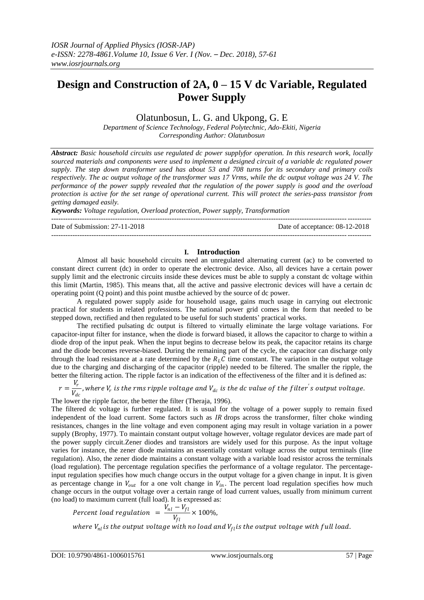# **Design and Construction of 2A, 0 – 15 V dc Variable, Regulated Power Supply**

Olatunbosun, L. G. and Ukpong, G. E

*Department of Science Technology, Federal Polytechnic, Ado-Ekiti, Nigeria Corresponding Author: Olatunbosun*

*Abstract: Basic household circuits use regulated dc power supplyfor operation. In this research work, locally sourced materials and components were used to implement a designed circuit of a variable dc regulated power supply. The step down transformer used has about 53 and 708 turns for its secondary and primary coils respectively. The ac output voltage of the transformer was 17 Vrms, while the dc output voltage was 24 V. The performance of the power supply revealed that the regulation of the power supply is good and the overload protection is active for the set range of operational current. This will protect the series-pass transistor from getting damaged easily.* 

*Keywords: Voltage regulation, Overload protection, Power supply, Transformation*

--------------------------------------------------------------------------------------------------------------------------------------- Date of Submission: 27-11-2018 Date of acceptance: 08-12-2018 ---------------------------------------------------------------------------------------------------------------------------------------

# **I. Introduction**

Almost all basic household circuits need an unregulated alternating current (ac) to be converted to constant direct current (dc) in order to operate the electronic device. Also, all devices have a certain power supply limit and the electronic circuits inside these devices must be able to supply a constant dc voltage within this limit (Martin, 1985). This means that, all the active and passive electronic devices will have a certain dc operating point (Q point) and this point mustbe achieved by the source of dc power.

A regulated power supply aside for household usage, gains much usage in carrying out electronic practical for students in related professions. The national power grid comes in the form that needed to be stepped down, rectified and then regulated to be useful for such students' practical works.

The rectified pulsating dc output is filtered to virtually eliminate the large voltage variations. For capacitor-input filter for instance, when the diode is forward biased, it allows the capacitor to charge to within a diode drop of the input peak. When the input begins to decrease below its peak, the capacitor retains its charge and the diode becomes reverse-biased. During the remaining part of the cycle, the capacitor can discharge only through the load resistance at a rate determined by the  $R<sub>L</sub>C$  time constant. The variation in the output voltage due to the charging and discharging of the capacitor (ripple) needed to be filtered. The smaller the ripple, the better the filtering action. The ripple factor is an indication of the effectiveness of the filter and it is defined as:

 $r=\frac{V_r}{V}$  $\frac{r_r}{V_{dc}}$  , where V<sub>r</sub> is the rms ripple voltage and V<sub>dc</sub> is the dc value of the filter<sup>'</sup>s output voltage.<br>V<sub>dc</sub>

The lower the ripple factor, the better the filter (Theraja, 1996).

The filtered dc voltage is further regulated. It is usual for the voltage of a power supply to remain fixed independent of the load current. Some factors such as  $IR$  drops across the transformer, filter choke winding resistances, changes in the line voltage and even component aging may result in voltage variation in a power supply (Brophy, 1977). To maintain constant output voltage however, voltage regulator devices are made part of the power supply circuit.Zener diodes and transistors are widely used for this purpose. As the input voltage varies for instance, the zener diode maintains an essentially constant voltage across the output terminals (line regulation). Also, the zener diode maintains a constant voltage with a variable load resistor across the terminals (load regulation). The percentage regulation specifies the performance of a voltage regulator. The percentageinput regulation specifies how much change occurs in the output voltage for a given change in input. It is given as percentage change in  $V_{out}$  for a one volt change in  $V_{in}$ . The percent load regulation specifies how much change occurs in the output voltage over a certain range of load current values, usually from minimum current (no load) to maximum current (full load). It is expressed as:

Percent load regulation = 
$$
\frac{V_{nl} - V_{fl}}{V_{fl}} \times 100\%,
$$

where  $V_{nl}$ is the output voltage with no load and  $V_{fl}$ is the output voltage with full load.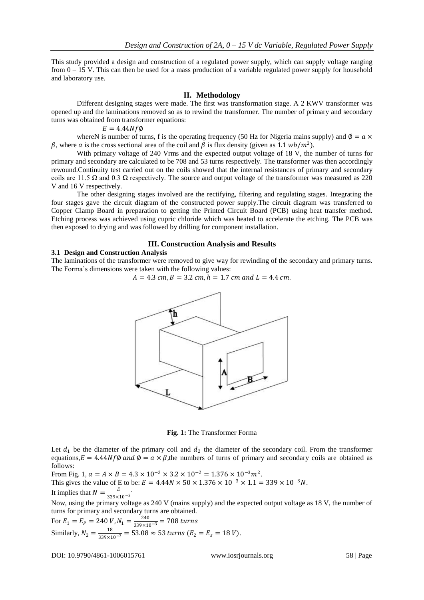This study provided a design and construction of a regulated power supply, which can supply voltage ranging from  $0 - 15$  V. This can then be used for a mass production of a variable regulated power supply for household and laboratory use.

### **II. Methodology**

Different designing stages were made. The first was transformation stage. A 2 KWV transformer was opened up and the laminations removed so as to rewind the transformer. The number of primary and secondary turns was obtained from transformer equations:

#### $E = 4.44Nf\emptyset$

whereN is number of turns, f is the operating frequency (50 Hz for Nigeria mains supply) and  $\phi = a \times a$  $\beta$ , where a is the cross sectional area of the coil and  $\beta$  is flux density (given as 1.1  $wb/m^2$ ).

With primary voltage of 240 Vrms and the expected output voltage of 18 V, the number of turns for primary and secondary are calculated to be 708 and 53 turns respectively. The transformer was then accordingly rewound.Continuity test carried out on the coils showed that the internal resistances of primary and secondary coils are 11.5  $\Omega$  and 0.3  $\Omega$  respectively. The source and output voltage of the transformer was measured as 220 V and 16 V respectively.

The other designing stages involved are the rectifying, filtering and regulating stages. Integrating the four stages gave the circuit diagram of the constructed power supply.The circuit diagram was transferred to Copper Clamp Board in preparation to getting the Printed Circuit Board (PCB) using heat transfer method. Etching process was achieved using cupric chloride which was heated to accelerate the etching. The PCB was then exposed to drying and was followed by drilling for component installation.

#### **III. Construction Analysis and Results**

## **3.1 Design and Construction Analysis**

The laminations of the transformer were removed to give way for rewinding of the secondary and primary turns. The Forma's dimensions were taken with the following values:

$$
A = 4.3
$$
 cm,  $B = 3.2$  cm,  $h = 1.7$  cm and  $L = 4.4$  cm.



**Fig. 1:** The Transformer Forma

Let  $d_1$  be the diameter of the primary coil and  $d_2$  the diameter of the secondary coil. From the transformer equations,  $E = 4.44Nf\phi$  and  $\phi = a \times \beta$ , the numbers of turns of primary and secondary coils are obtained as follows:

From Fig. 1,  $a = A \times B = 4.3 \times 10^{-2} \times 3.2 \times 10^{-2} = 1.376 \times 10^{-3} m^2$ .

This gives the value of E to be:  $E = 4.44N \times 50 \times 1.376 \times 10^{-3} \times 1.1 = 339 \times 10^{-3} N$ .

It implies that  $N = \frac{E}{220 \text{ m/s}}$  $\frac{E}{339 \times 10^{-3}}$ 

Now, using the primary voltage as 240 V (mains supply) and the expected output voltage as 18 V, the number of turns for primary and secondary turns are obtained.

For  $E_1 = E_P = 240 \text{ V}$ ,  $N_1 = \frac{240}{339 \times 10^{-3}} = 708 \text{ turns}$ Similarly,  $N_2 = \frac{18}{339 \times 10^{-3}} = 53.08 \approx 53 \text{ turns } (E_2 = E_s = 18 \text{ V}).$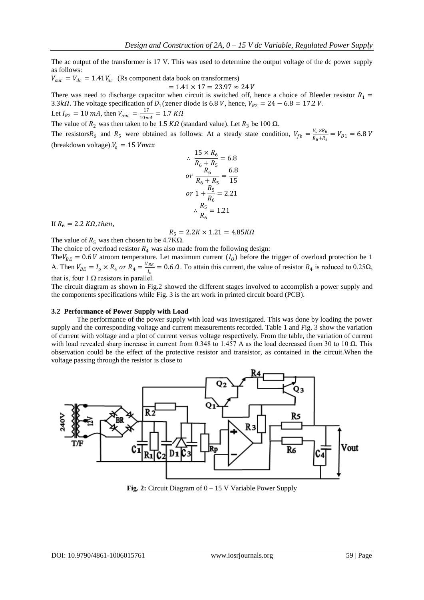The ac output of the transformer is 17 V. This was used to determine the output voltage of the dc power supply as follows:

$$
V_{out} = V_{dc} = 1.41 V_{ac}
$$
 (Rs component data book on transforms)  
= 1.41 × 17 = 23.97 ≈ 24 V

There was need to discharge capacitor when circuit is switched off, hence a choice of Bleeder resistor  $R_1 =$ 3.3k $\Omega$ . The voltage specification of  $D_1$ (zener diode is 6.8 V, hence,  $V_{R2} = 24 - 6.8 = 17.2$  V. Let  $I_{R2} = 10 \text{ mA}$ , then  $V_{out} = \frac{17}{10 \text{ m}}$  $\frac{1}{10mA} = 1.7 K\Omega$ 

The value of  $R_2$  was then taken to be 1.5 K $\Omega$  (standard value). Let  $R_3$  be 100  $\Omega$ .

The resistors  $R_6$  and  $R_5$  were obtained as follows: At a steady state condition,  $V_{fb} = \frac{V_0 \times R_6}{R_0 + R_5}$  $\frac{V_0 \wedge R_6}{R_6 + R_5} = V_{D1} = 6.8 V$ (breakdown voltage).  $V_0 = 15$  V max

$$
\therefore \frac{15 \times R_6}{R_6 + R_5} = 6.8
$$
\n
$$
or \frac{R_6}{R_6 + R_5} = \frac{6.8}{15}
$$
\n
$$
or 1 + \frac{R_5}{R_6} = 2.21
$$
\n
$$
\therefore \frac{R_5}{R_6} = 1.21
$$

If  $R_6 = 2.2 K\Omega$ , then,

$$
R_5=2.2K\times 1.21=4.85K\Omega
$$

The value of  $R_5$  was then chosen to be 4.7K $\Omega$ .

The choice of overload resistor  $R_4$  was also made from the following design:

The  $V_{BE} = 0.6 V$  atroom temperature. Let maximum current  $(I_0)$  before the trigger of overload protection be 1 A. Then  $V_{BE} = I_o \times R_4$  or  $R_4 = \frac{V_{BE}}{I}$  $\frac{BE}{I_0}$  = 0.6  $\Omega$ . To attain this current, the value of resistor  $R_4$  is reduced to 0.25 $\Omega$ , that is, four 1  $\Omega$  resistors in parallel.

The circuit diagram as shown in Fig.2 showed the different stages involved to accomplish a power supply and the components specifications while Fig. 3 is the art work in printed circuit board (PCB).

#### **3.2 Performance of Power Supply with Load**

The performance of the power supply with load was investigated. This was done by loading the power supply and the corresponding voltage and current measurements recorded. Table 1 and Fig. 3 show the variation of current with voltage and a plot of current versus voltage respectively. From the table, the variation of current with load revealed sharp increase in current from 0.348 to 1.457 A as the load decreased from 30 to 10  $\Omega$ . This observation could be the effect of the protective resistor and transistor, as contained in the circuit.When the voltage passing through the resistor is close to



**Fig. 2:** Circuit Diagram of 0 – 15 V Variable Power Supply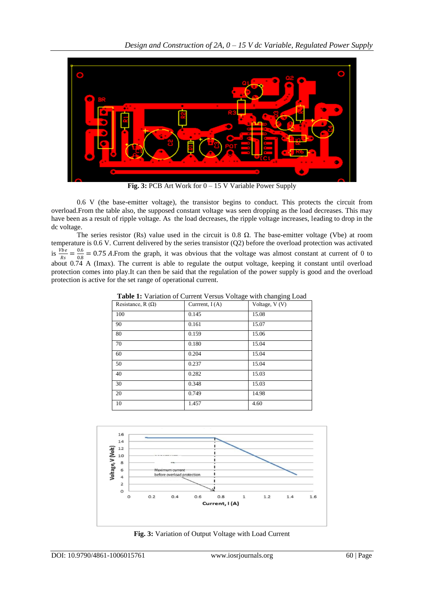

**Fig. 3:** PCB Art Work for  $0 - 15$  V Variable Power Supply

0.6 V (the base-emitter voltage), the transistor begins to conduct. This protects the circuit from overload.From the table also, the supposed constant voltage was seen dropping as the load decreases. This may have been as a result of ripple voltage. As the load decreases, the ripple voltage increases, leading to drop in the dc voltage.

The series resistor (Rs) value used in the circuit is 0.8  $\Omega$ . The base-emitter voltage (Vbe) at room temperature is 0.6 V. Current delivered by the series transistor (Q2) before the overload protection was activated is  $\frac{Vbe}{Rs} = \frac{0.6}{0.8}$  $\frac{0.0}{0.8}$  = 0.75 A. From the graph, it was obvious that the voltage was almost constant at current of 0 to about 0.74 A (Imax). The current is able to regulate the output voltage, keeping it constant until overload protection comes into play.It can then be said that the regulation of the power supply is good and the overload protection is active for the set range of operational current.

| Resistance, $R(\Omega)$ | Current, $I(A)$ | Voltage, $V(V)$ |
|-------------------------|-----------------|-----------------|
| 100                     | 0.145           | 15.08           |
| 90                      | 0.161           | 15.07           |
| 80                      | 0.159           | 15.06           |
| 70                      | 0.180           | 15.04           |
| 60                      | 0.204           | 15.04           |
| 50                      | 0.237           | 15.04           |
| 40                      | 0.282           | 15.03           |
| 30                      | 0.348           | 15.03           |
| 20                      | 0.749           | 14.98           |
| 10                      | 1.457           | 4.60            |

**Table 1:** Variation of Current Versus Voltage with changing Load



**Fig. 3:** Variation of Output Voltage with Load Current